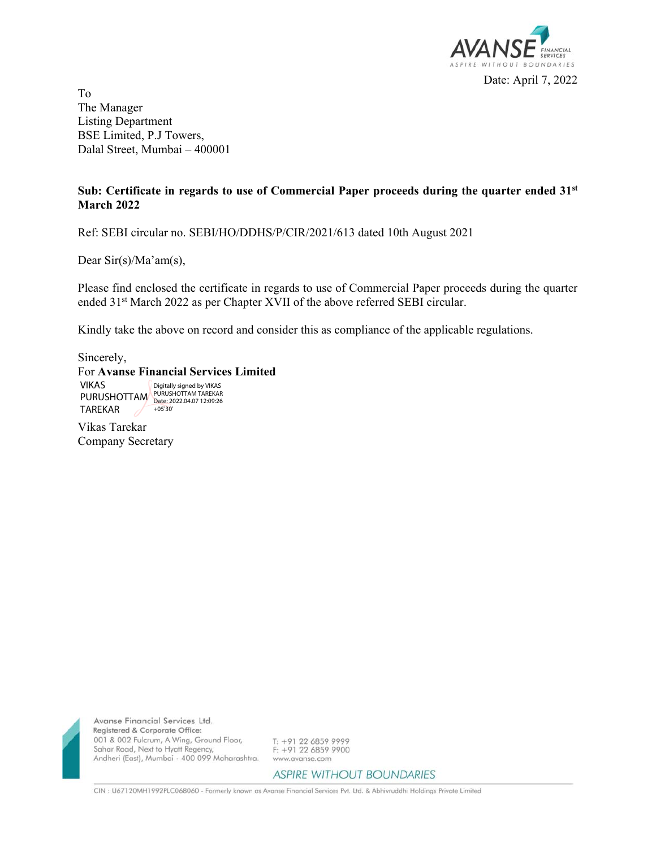

To The Manager Listing Department BSE Limited, P.J Towers, Dalal Street, Mumbai – 400001

## **Sub: Certificate in regards to use of Commercial Paper proceeds during the quarter ended 31st March 2022**

Ref: SEBI circular no. SEBI/HO/DDHS/P/CIR/2021/613 dated 10th August 2021

Dear Sir(s)/Ma'am(s),

Please find enclosed the certificate in regards to use of Commercial Paper proceeds during the quarter ended 31st March 2022 as per Chapter XVII of the above referred SEBI circular.

Kindly take the above on record and consider this as compliance of the applicable regulations.

Sincerely,

TAREKAR

For **Avanse Financial Services Limited**  VIKAS PURUSHOTTAM PURUSHOTTAM TAREKAR Digitally signed by VIKAS

+05'30'

Vikas Tarekar Company Secretary

Avanse Financial Services Ltd. Registered & Corporate Office: 001 & 002 Fulcrum, A Wing, Ground Floor, Sahar Road, Next to Hyatt Regency, Andheri (East), Mumbai - 400 099 Maharashtra.

T: +91 22 6859 9999 F: +91 22 6859 9900 www.avanse.com

**ASPIRE WITHOUT BOUNDARIES** 

CIN : U67120MH1992PLC068060 - Formerly known as Avanse Financial Services Pvt. Ltd. & Abhivruddhi Holdings Private Limited